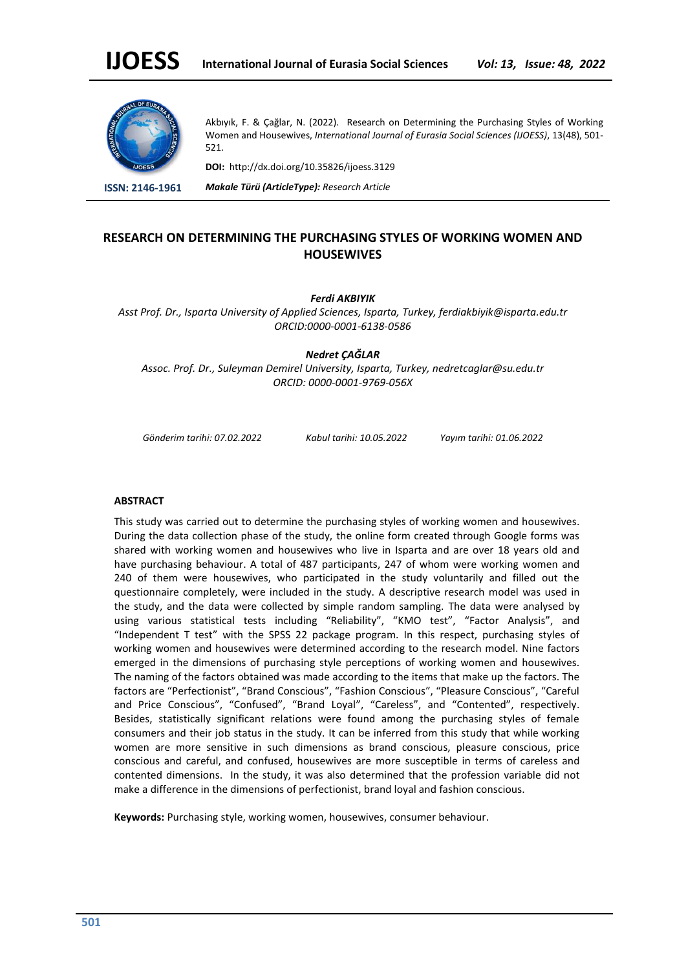

Akbıyık, F. & Çağlar, N. (2022). Research on Determining the Purchasing Styles of Working Women and Housewives, *International Journal of Eurasia Social Sciences (IJOESS)*, 13(48), 501- 521.

**DOI:** http://dx.doi.org/10.35826/ijoess.3129

**ISSN: 2146-1961** *Makale Türü (ArticleType): Research Article*

# **RESEARCH ON DETERMINING THE PURCHASING STYLES OF WORKING WOMEN AND HOUSEWIVES**

*Ferdi AKBIYIK*

*Asst Prof. Dr., Isparta University of Applied Sciences, Isparta, Turkey, ferdiakbiyik@isparta.edu.tr ORCID:0000-0001-6138-0586*

*Nedret ÇAĞLAR*

*Assoc. Prof. Dr., Suleyman Demirel University, Isparta, Turkey, nedretcaglar@su.edu.tr ORCID: 0000-0001-9769-056X*

*Gönderim tarihi: 07.02.2022 Kabul tarihi: 10.05.2022 Yayım tarihi: 01.06.2022*

#### **ABSTRACT**

This study was carried out to determine the purchasing styles of working women and housewives. During the data collection phase of the study, the online form created through Google forms was shared with working women and housewives who live in Isparta and are over 18 years old and have purchasing behaviour. A total of 487 participants, 247 of whom were working women and 240 of them were housewives, who participated in the study voluntarily and filled out the questionnaire completely, were included in the study. A descriptive research model was used in the study, and the data were collected by simple random sampling. The data were analysed by using various statistical tests including "Reliability", "KMO test", "Factor Analysis", and "Independent T test" with the SPSS 22 package program. In this respect, purchasing styles of working women and housewives were determined according to the research model. Nine factors emerged in the dimensions of purchasing style perceptions of working women and housewives. The naming of the factors obtained was made according to the items that make up the factors. The factors are "Perfectionist", "Brand Conscious", "Fashion Conscious", "Pleasure Conscious", "Careful and Price Conscious", "Confused", "Brand Loyal", "Careless", and "Contented", respectively. Besides, statistically significant relations were found among the purchasing styles of female consumers and their job status in the study. It can be inferred from this study that while working women are more sensitive in such dimensions as brand conscious, pleasure conscious, price conscious and careful, and confused, housewives are more susceptible in terms of careless and contented dimensions. In the study, it was also determined that the profession variable did not make a difference in the dimensions of perfectionist, brand loyal and fashion conscious.

**Keywords:** Purchasing style, working women, housewives, consumer behaviour.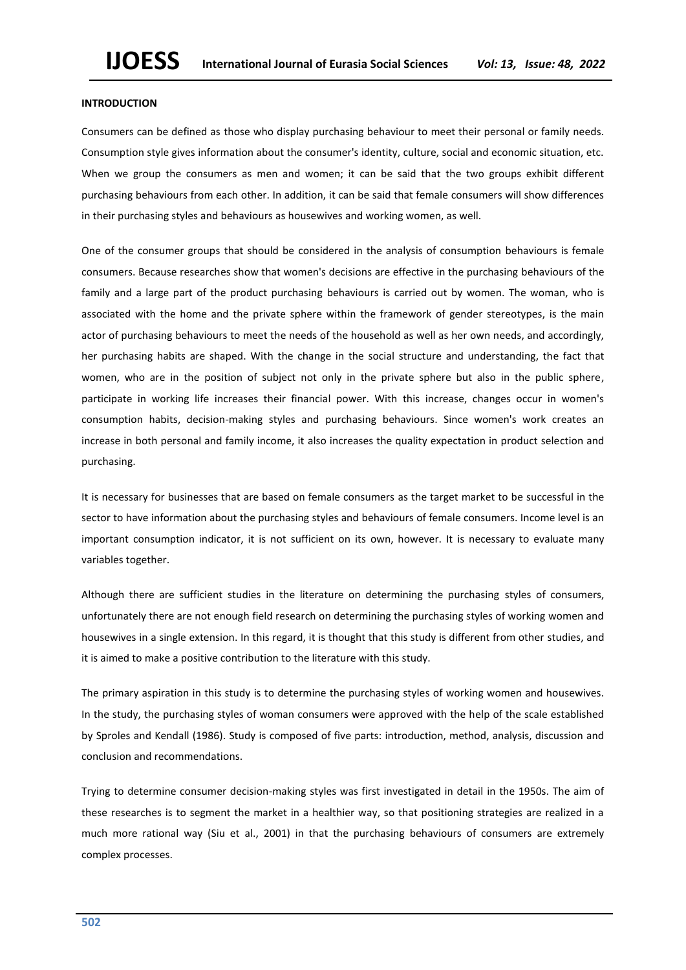### **INTRODUCTION**

Consumers can be defined as those who display purchasing behaviour to meet their personal or family needs. Consumption style gives information about the consumer's identity, culture, social and economic situation, etc. When we group the consumers as men and women; it can be said that the two groups exhibit different purchasing behaviours from each other. In addition, it can be said that female consumers will show differences in their purchasing styles and behaviours as housewives and working women, as well.

One of the consumer groups that should be considered in the analysis of consumption behaviours is female consumers. Because researches show that women's decisions are effective in the purchasing behaviours of the family and a large part of the product purchasing behaviours is carried out by women. The woman, who is associated with the home and the private sphere within the framework of gender stereotypes, is the main actor of purchasing behaviours to meet the needs of the household as well as her own needs, and accordingly, her purchasing habits are shaped. With the change in the social structure and understanding, the fact that women, who are in the position of subject not only in the private sphere but also in the public sphere, participate in working life increases their financial power. With this increase, changes occur in women's consumption habits, decision-making styles and purchasing behaviours. Since women's work creates an increase in both personal and family income, it also increases the quality expectation in product selection and purchasing.

It is necessary for businesses that are based on female consumers as the target market to be successful in the sector to have information about the purchasing styles and behaviours of female consumers. Income level is an important consumption indicator, it is not sufficient on its own, however. It is necessary to evaluate many variables together.

Although there are sufficient studies in the literature on determining the purchasing styles of consumers, unfortunately there are not enough field research on determining the purchasing styles of working women and housewives in a single extension. In this regard, it is thought that this study is different from other studies, and it is aimed to make a positive contribution to the literature with this study.

The primary aspiration in this study is to determine the purchasing styles of working women and housewives. In the study, the purchasing styles of woman consumers were approved with the help of the scale established by Sproles and Kendall (1986). Study is composed of five parts: introduction, method, analysis, discussion and conclusion and recommendations.

Trying to determine consumer decision-making styles was first investigated in detail in the 1950s. The aim of these researches is to segment the market in a healthier way, so that positioning strategies are realized in a much more rational way (Siu et al., 2001) in that the purchasing behaviours of consumers are extremely complex processes.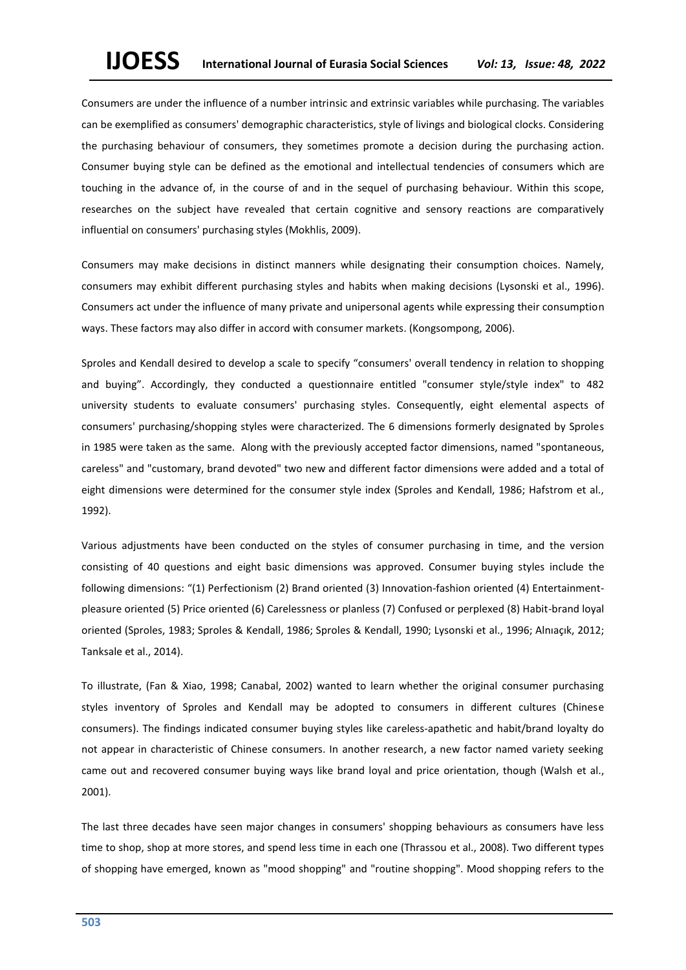Consumers are under the influence of a number intrinsic and extrinsic variables while purchasing. The variables can be exemplified as consumers' demographic characteristics, style of livings and biological clocks. Considering the purchasing behaviour of consumers, they sometimes promote a decision during the purchasing action. Consumer buying style can be defined as the emotional and intellectual tendencies of consumers which are touching in the advance of, in the course of and in the sequel of purchasing behaviour. Within this scope, researches on the subject have revealed that certain cognitive and sensory reactions are comparatively influential on consumers' purchasing styles (Mokhlis, 2009).

Consumers may make decisions in distinct manners while designating their consumption choices. Namely, consumers may exhibit different purchasing styles and habits when making decisions (Lysonski et al., 1996). Consumers act under the influence of many private and unipersonal agents while expressing their consumption ways. These factors may also differ in accord with consumer markets. (Kongsompong, 2006).

Sproles and Kendall desired to develop a scale to specify "consumers' overall tendency in relation to shopping and buying". Accordingly, they conducted a questionnaire entitled "consumer style/style index" to 482 university students to evaluate consumers' purchasing styles. Consequently, eight elemental aspects of consumers' purchasing/shopping styles were characterized. The 6 dimensions formerly designated by Sproles in 1985 were taken as the same. Along with the previously accepted factor dimensions, named "spontaneous, careless" and "customary, brand devoted" two new and different factor dimensions were added and a total of eight dimensions were determined for the consumer style index (Sproles and Kendall, 1986; Hafstrom et al., 1992).

Various adjustments have been conducted on the styles of consumer purchasing in time, and the version consisting of 40 questions and eight basic dimensions was approved. Consumer buying styles include the following dimensions: "(1) Perfectionism (2) Brand oriented (3) Innovation-fashion oriented (4) Entertainmentpleasure oriented (5) Price oriented (6) Carelessness or planless (7) Confused or perplexed (8) Habit-brand loyal oriented (Sproles, 1983; Sproles & Kendall, 1986; Sproles & Kendall, 1990; Lysonski et al., 1996; Alnıaçık, 2012; Tanksale et al., 2014).

To illustrate, (Fan & Xiao, 1998; Canabal, 2002) wanted to learn whether the original consumer purchasing styles inventory of Sproles and Kendall may be adopted to consumers in different cultures (Chinese consumers). The findings indicated consumer buying styles like careless-apathetic and habit/brand loyalty do not appear in characteristic of Chinese consumers. In another research, a new factor named variety seeking came out and recovered consumer buying ways like brand loyal and price orientation, though (Walsh et al., 2001).

The last three decades have seen major changes in consumers' shopping behaviours as consumers have less time to shop, shop at more stores, and spend less time in each one (Thrassou et al., 2008). Two different types of shopping have emerged, known as "mood shopping" and "routine shopping". Mood shopping refers to the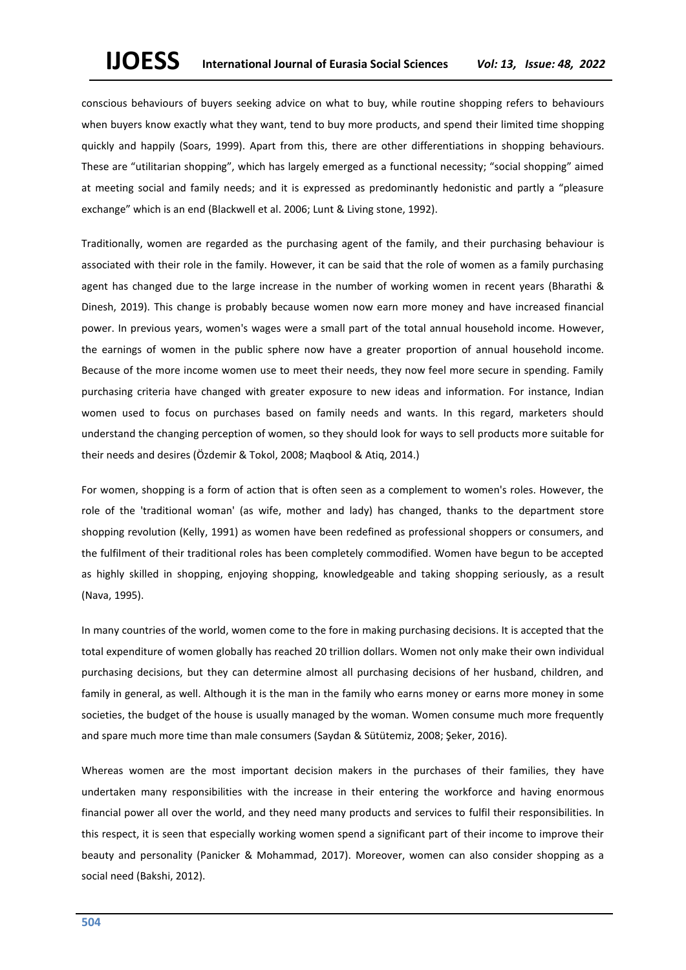conscious behaviours of buyers seeking advice on what to buy, while routine shopping refers to behaviours when buyers know exactly what they want, tend to buy more products, and spend their limited time shopping quickly and happily (Soars, 1999). Apart from this, there are other differentiations in shopping behaviours. These are "utilitarian shopping", which has largely emerged as a functional necessity; "social shopping" aimed at meeting social and family needs; and it is expressed as predominantly hedonistic and partly a "pleasure exchange" which is an end (Blackwell et al. 2006; Lunt & Living stone, 1992).

Traditionally, women are regarded as the purchasing agent of the family, and their purchasing behaviour is associated with their role in the family. However, it can be said that the role of women as a family purchasing agent has changed due to the large increase in the number of working women in recent years (Bharathi & Dinesh, 2019). This change is probably because women now earn more money and have increased financial power. In previous years, women's wages were a small part of the total annual household income. However, the earnings of women in the public sphere now have a greater proportion of annual household income. Because of the more income women use to meet their needs, they now feel more secure in spending. Family purchasing criteria have changed with greater exposure to new ideas and information. For instance, Indian women used to focus on purchases based on family needs and wants. In this regard, marketers should understand the changing perception of women, so they should look for ways to sell products more suitable for their needs and desires (Özdemir & Tokol, 2008; Maqbool & Atiq, 2014.)

For women, shopping is a form of action that is often seen as a complement to women's roles. However, the role of the 'traditional woman' (as wife, mother and lady) has changed, thanks to the department store shopping revolution (Kelly, 1991) as women have been redefined as professional shoppers or consumers, and the fulfilment of their traditional roles has been completely commodified. Women have begun to be accepted as highly skilled in shopping, enjoying shopping, knowledgeable and taking shopping seriously, as a result (Nava, 1995).

In many countries of the world, women come to the fore in making purchasing decisions. It is accepted that the total expenditure of women globally has reached 20 trillion dollars. Women not only make their own individual purchasing decisions, but they can determine almost all purchasing decisions of her husband, children, and family in general, as well. Although it is the man in the family who earns money or earns more money in some societies, the budget of the house is usually managed by the woman. Women consume much more frequently and spare much more time than male consumers (Saydan & Sütütemiz, 2008; Şeker, 2016).

Whereas women are the most important decision makers in the purchases of their families, they have undertaken many responsibilities with the increase in their entering the workforce and having enormous financial power all over the world, and they need many products and services to fulfil their responsibilities. In this respect, it is seen that especially working women spend a significant part of their income to improve their beauty and personality (Panicker & Mohammad, 2017). Moreover, women can also consider shopping as a social need (Bakshi, 2012).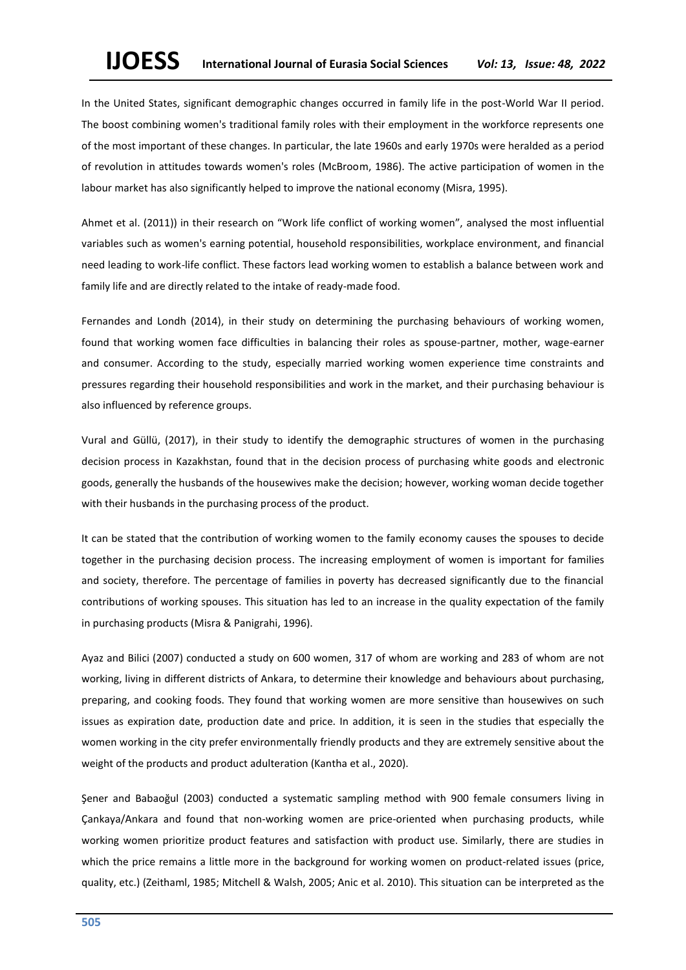In the United States, significant demographic changes occurred in family life in the post-World War II period. The boost combining women's traditional family roles with their employment in the workforce represents one of the most important of these changes. In particular, the late 1960s and early 1970s were heralded as a period of revolution in attitudes towards women's roles (McBroom, 1986). The active participation of women in the labour market has also significantly helped to improve the national economy (Misra, 1995).

Ahmet et al. (2011)) in their research on "Work life conflict of working women", analysed the most influential variables such as women's earning potential, household responsibilities, workplace environment, and financial need leading to work-life conflict. These factors lead working women to establish a balance between work and family life and are directly related to the intake of ready-made food.

Fernandes and Londh (2014), in their study on determining the purchasing behaviours of working women, found that working women face difficulties in balancing their roles as spouse-partner, mother, wage-earner and consumer. According to the study, especially married working women experience time constraints and pressures regarding their household responsibilities and work in the market, and their purchasing behaviour is also influenced by reference groups.

Vural and Güllü, (2017), in their study to identify the demographic structures of women in the purchasing decision process in Kazakhstan, found that in the decision process of purchasing white goods and electronic goods, generally the husbands of the housewives make the decision; however, working woman decide together with their husbands in the purchasing process of the product.

It can be stated that the contribution of working women to the family economy causes the spouses to decide together in the purchasing decision process. The increasing employment of women is important for families and society, therefore. The percentage of families in poverty has decreased significantly due to the financial contributions of working spouses. This situation has led to an increase in the quality expectation of the family in purchasing products (Misra & Panigrahi, 1996).

Ayaz and Bilici (2007) conducted a study on 600 women, 317 of whom are working and 283 of whom are not working, living in different districts of Ankara, to determine their knowledge and behaviours about purchasing, preparing, and cooking foods. They found that working women are more sensitive than housewives on such issues as expiration date, production date and price. In addition, it is seen in the studies that especially the women working in the city prefer environmentally friendly products and they are extremely sensitive about the weight of the products and product adulteration (Kantha et al., 2020).

Şener and Babaoğul (2003) conducted a systematic sampling method with 900 female consumers living in Çankaya/Ankara and found that non-working women are price-oriented when purchasing products, while working women prioritize product features and satisfaction with product use. Similarly, there are studies in which the price remains a little more in the background for working women on product-related issues (price, quality, etc.) (Zeithaml, 1985; Mitchell & Walsh, 2005; Anic et al. 2010). This situation can be interpreted as the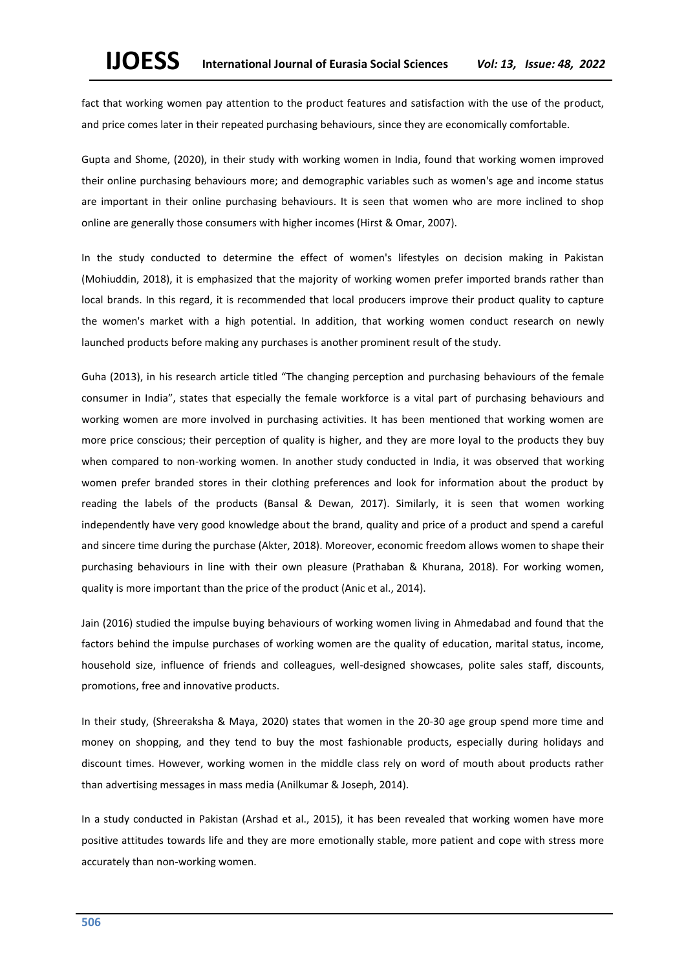fact that working women pay attention to the product features and satisfaction with the use of the product, and price comes later in their repeated purchasing behaviours, since they are economically comfortable.

Gupta and Shome, (2020), in their study with working women in India, found that working women improved their online purchasing behaviours more; and demographic variables such as women's age and income status are important in their online purchasing behaviours. It is seen that women who are more inclined to shop online are generally those consumers with higher incomes (Hirst & Omar, 2007).

In the study conducted to determine the effect of women's lifestyles on decision making in Pakistan (Mohiuddin, 2018), it is emphasized that the majority of working women prefer imported brands rather than local brands. In this regard, it is recommended that local producers improve their product quality to capture the women's market with a high potential. In addition, that working women conduct research on newly launched products before making any purchases is another prominent result of the study.

Guha (2013), in his research article titled "The changing perception and purchasing behaviours of the female consumer in India", states that especially the female workforce is a vital part of purchasing behaviours and working women are more involved in purchasing activities. It has been mentioned that working women are more price conscious; their perception of quality is higher, and they are more loyal to the products they buy when compared to non-working women. In another study conducted in India, it was observed that working women prefer branded stores in their clothing preferences and look for information about the product by reading the labels of the products (Bansal & Dewan, 2017). Similarly, it is seen that women working independently have very good knowledge about the brand, quality and price of a product and spend a careful and sincere time during the purchase (Akter, 2018). Moreover, economic freedom allows women to shape their purchasing behaviours in line with their own pleasure (Prathaban & Khurana, 2018). For working women, quality is more important than the price of the product (Anic et al., 2014).

Jain (2016) studied the impulse buying behaviours of working women living in Ahmedabad and found that the factors behind the impulse purchases of working women are the quality of education, marital status, income, household size, influence of friends and colleagues, well-designed showcases, polite sales staff, discounts, promotions, free and innovative products.

In their study, (Shreeraksha & Maya, 2020) states that women in the 20-30 age group spend more time and money on shopping, and they tend to buy the most fashionable products, especially during holidays and discount times. However, working women in the middle class rely on word of mouth about products rather than advertising messages in mass media (Anilkumar & Joseph, 2014).

In a study conducted in Pakistan (Arshad et al., 2015), it has been revealed that working women have more positive attitudes towards life and they are more emotionally stable, more patient and cope with stress more accurately than non-working women.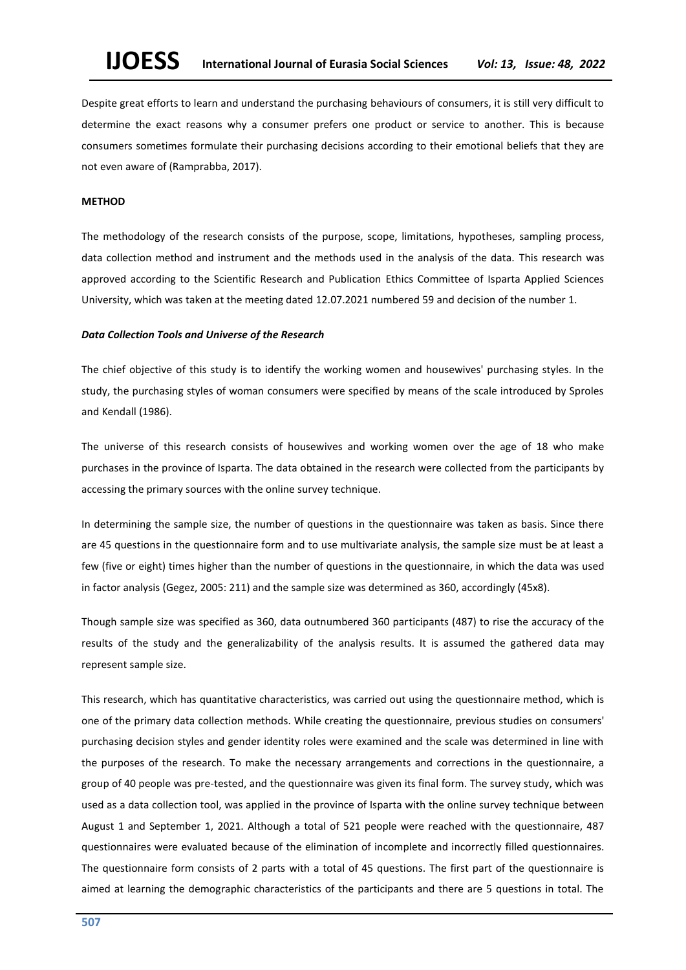Despite great efforts to learn and understand the purchasing behaviours of consumers, it is still very difficult to determine the exact reasons why a consumer prefers one product or service to another. This is because consumers sometimes formulate their purchasing decisions according to their emotional beliefs that they are not even aware of (Ramprabba, 2017).

#### **METHOD**

The methodology of the research consists of the purpose, scope, limitations, hypotheses, sampling process, data collection method and instrument and the methods used in the analysis of the data. This research was approved according to the Scientific Research and Publication Ethics Committee of Isparta Applied Sciences University, which was taken at the meeting dated 12.07.2021 numbered 59 and decision of the number 1.

#### *Data Collection Tools and Universe of the Research*

The chief objective of this study is to identify the working women and housewives' purchasing styles. In the study, the purchasing styles of woman consumers were specified by means of the scale introduced by Sproles and Kendall (1986).

The universe of this research consists of housewives and working women over the age of 18 who make purchases in the province of Isparta. The data obtained in the research were collected from the participants by accessing the primary sources with the online survey technique.

In determining the sample size, the number of questions in the questionnaire was taken as basis. Since there are 45 questions in the questionnaire form and to use multivariate analysis, the sample size must be at least a few (five or eight) times higher than the number of questions in the questionnaire, in which the data was used in factor analysis (Gegez, 2005: 211) and the sample size was determined as 360, accordingly (45x8).

Though sample size was specified as 360, data outnumbered 360 participants (487) to rise the accuracy of the results of the study and the generalizability of the analysis results. It is assumed the gathered data may represent sample size.

This research, which has quantitative characteristics, was carried out using the questionnaire method, which is one of the primary data collection methods. While creating the questionnaire, previous studies on consumers' purchasing decision styles and gender identity roles were examined and the scale was determined in line with the purposes of the research. To make the necessary arrangements and corrections in the questionnaire, a group of 40 people was pre-tested, and the questionnaire was given its final form. The survey study, which was used as a data collection tool, was applied in the province of Isparta with the online survey technique between August 1 and September 1, 2021. Although a total of 521 people were reached with the questionnaire, 487 questionnaires were evaluated because of the elimination of incomplete and incorrectly filled questionnaires. The questionnaire form consists of 2 parts with a total of 45 questions. The first part of the questionnaire is aimed at learning the demographic characteristics of the participants and there are 5 questions in total. The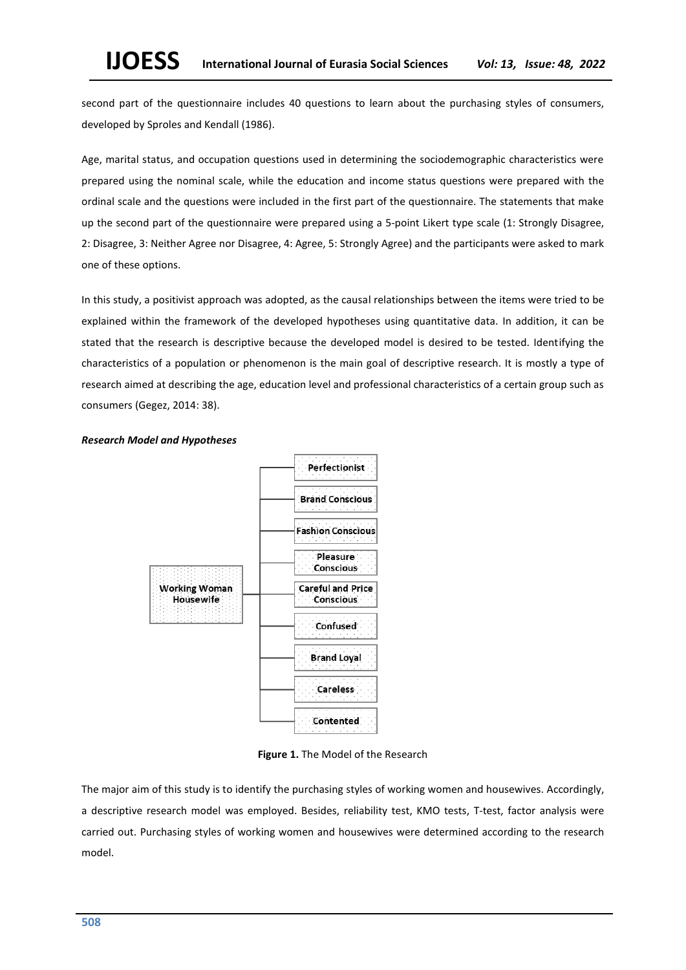second part of the questionnaire includes 40 questions to learn about the purchasing styles of consumers, developed by Sproles and Kendall (1986).

Age, marital status, and occupation questions used in determining the sociodemographic characteristics were prepared using the nominal scale, while the education and income status questions were prepared with the ordinal scale and the questions were included in the first part of the questionnaire. The statements that make up the second part of the questionnaire were prepared using a 5-point Likert type scale (1: Strongly Disagree, 2: Disagree, 3: Neither Agree nor Disagree, 4: Agree, 5: Strongly Agree) and the participants were asked to mark one of these options.

In this study, a positivist approach was adopted, as the causal relationships between the items were tried to be explained within the framework of the developed hypotheses using quantitative data. In addition, it can be stated that the research is descriptive because the developed model is desired to be tested. Identifying the characteristics of a population or phenomenon is the main goal of descriptive research. It is mostly a type of research aimed at describing the age, education level and professional characteristics of a certain group such as consumers (Gegez, 2014: 38).



### *Research Model and Hypotheses*

**Figure 1.** The Model of the Research

The major aim of this study is to identify the purchasing styles of working women and housewives. Accordingly, a descriptive research model was employed. Besides, reliability test, KMO tests, T-test, factor analysis were carried out. Purchasing styles of working women and housewives were determined according to the research model.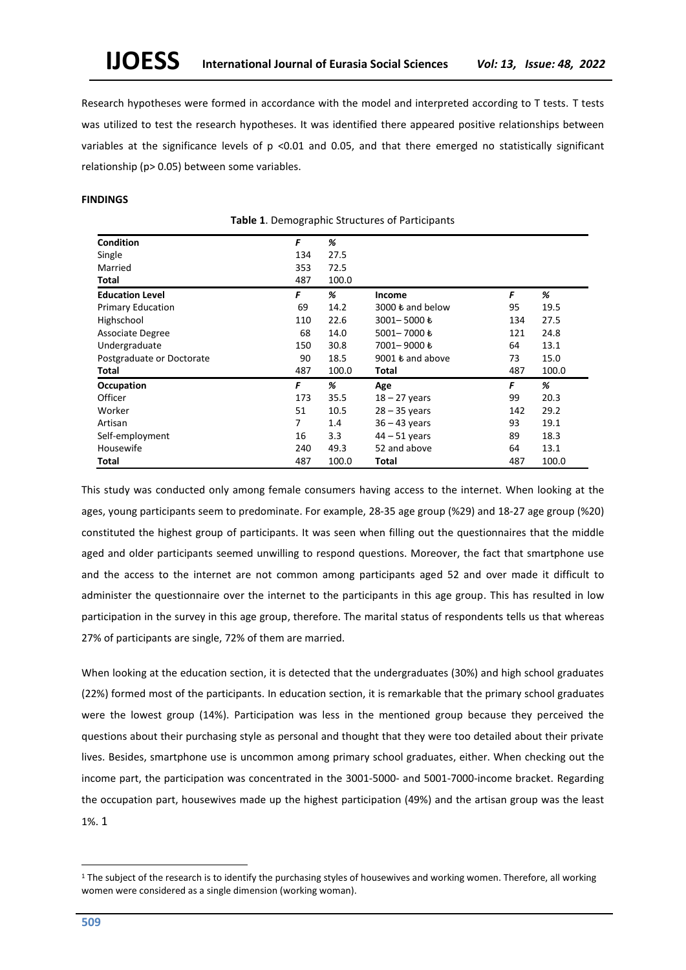Research hypotheses were formed in accordance with the model and interpreted according to T tests. T tests was utilized to test the research hypotheses. It was identified there appeared positive relationships between variables at the significance levels of p <0.01 and 0.05, and that there emerged no statistically significant relationship (p> 0.05) between some variables.

# **FINDINGS**

**Table 1**. Demographic Structures of Participants

| <b>Condition</b>          | F   | %     |                                    |     |       |
|---------------------------|-----|-------|------------------------------------|-----|-------|
| Single                    | 134 | 27.5  |                                    |     |       |
| Married                   | 353 | 72.5  |                                    |     |       |
| Total                     | 487 | 100.0 |                                    |     |       |
| <b>Education Level</b>    | F   | %     | Income                             | F   | %     |
| <b>Primary Education</b>  | 69  | 14.2  | 3000 $\boldsymbol{\ell}$ and below | 95  | 19.5  |
| Highschool                | 110 | 22.6  | 3001-5000も                         | 134 | 27.5  |
| <b>Associate Degree</b>   | 68  | 14.0  | 5001-7000も                         | 121 | 24.8  |
| Undergraduate             | 150 | 30.8  | 7001-9000₺                         | 64  | 13.1  |
| Postgraduate or Doctorate | 90  | 18.5  | 9001 $\bm{t}$ and above            | 73  | 15.0  |
| Total                     | 487 | 100.0 | Total                              | 487 | 100.0 |
| Occupation                | F   | %     | Age                                | F   | %     |
| Officer                   | 173 | 35.5  | $18 - 27$ years                    | 99  | 20.3  |
| Worker                    | 51  | 10.5  | $28 - 35$ years                    | 142 | 29.2  |
| Artisan                   | 7   | 1.4   | $36 - 43$ years                    | 93  | 19.1  |
| Self-employment           | 16  | 3.3   | $44 - 51$ years                    | 89  | 18.3  |
| Housewife                 | 240 | 49.3  | 52 and above                       | 64  | 13.1  |
| Total                     | 487 | 100.0 | Total                              | 487 | 100.0 |

This study was conducted only among female consumers having access to the internet. When looking at the ages, young participants seem to predominate. For example, 28-35 age group (%29) and 18-27 age group (%20) constituted the highest group of participants. It was seen when filling out the questionnaires that the middle aged and older participants seemed unwilling to respond questions. Moreover, the fact that smartphone use and the access to the internet are not common among participants aged 52 and over made it difficult to administer the questionnaire over the internet to the participants in this age group. This has resulted in low participation in the survey in this age group, therefore. The marital status of respondents tells us that whereas 27% of participants are single, 72% of them are married.

When looking at the education section, it is detected that the undergraduates (30%) and high school graduates (22%) formed most of the participants. In education section, it is remarkable that the primary school graduates were the lowest group (14%). Participation was less in the mentioned group because they perceived the questions about their purchasing style as personal and thought that they were too detailed about their private lives. Besides, smartphone use is uncommon among primary school graduates, either. When checking out the income part, the participation was concentrated in the 3001-5000- and 5001-7000-income bracket. Regarding the occupation part, housewives made up the highest participation (49%) and the artisan group was the least 1%. 1

<sup>&</sup>lt;sup>1</sup> The subject of the research is to identify the purchasing styles of housewives and working women. Therefore, all working women were considered as a single dimension (working woman).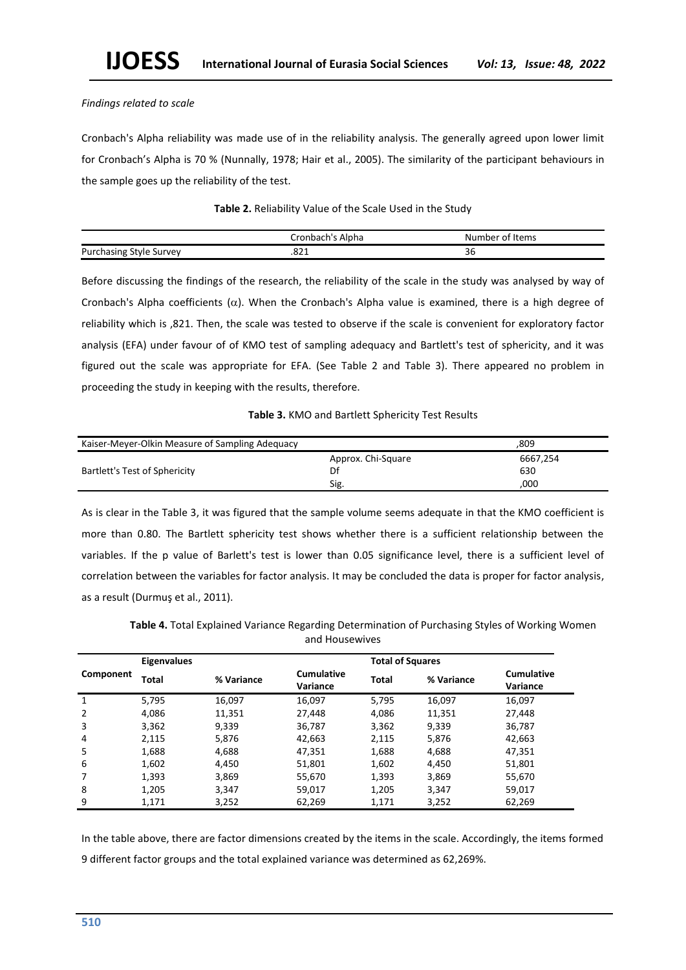# *Findings related to scale*

Cronbach's Alpha reliability was made use of in the reliability analysis. The generally agreed upon lower limit for Cronbach's Alpha is 70 % (Nunnally, 1978; Hair et al., 2005). The similarity of the participant behaviours in the sample goes up the reliability of the test.

# **Table 2.** Reliability Value of the Scale Used in the Study

|                                | tronbach's Alpha. | of Items <sup>.</sup><br>Number |
|--------------------------------|-------------------|---------------------------------|
| <b>Purchasing Style Survey</b> | .oz 1             | $\sim$<br>50.                   |

Before discussing the findings of the research, the reliability of the scale in the study was analysed by way of Cronbach's Alpha coefficients  $(\alpha)$ . When the Cronbach's Alpha value is examined, there is a high degree of reliability which is ,821. Then, the scale was tested to observe if the scale is convenient for exploratory factor analysis (EFA) under favour of of KMO test of sampling adequacy and Bartlett's test of sphericity, and it was figured out the scale was appropriate for EFA. (See Table 2 and Table 3). There appeared no problem in proceeding the study in keeping with the results, therefore.

# **Table 3.** KMO and Bartlett Sphericity Test Results

| Kaiser-Meyer-Olkin Measure of Sampling Adequacy | .809               |          |
|-------------------------------------------------|--------------------|----------|
|                                                 | Approx. Chi-Square | 6667.254 |
| Bartlett's Test of Sphericity                   | Df                 | 630      |
|                                                 | Sig.               | ,000     |

As is clear in the Table 3, it was figured that the sample volume seems adequate in that the KMO coefficient is more than 0.80. The Bartlett sphericity test shows whether there is a sufficient relationship between the variables. If the p value of Barlett's test is lower than 0.05 significance level, there is a sufficient level of correlation between the variables for factor analysis. It may be concluded the data is proper for factor analysis, as a result (Durmuş et al., 2011).

|           | <b>Eigenvalues</b> |            |                               | <b>Total of Squares</b> |            |                               |
|-----------|--------------------|------------|-------------------------------|-------------------------|------------|-------------------------------|
| Component | Total              | % Variance | <b>Cumulative</b><br>Variance | <b>Total</b>            | % Variance | <b>Cumulative</b><br>Variance |
| 1         | 5,795              | 16,097     | 16,097                        | 5,795                   | 16,097     | 16,097                        |
| 2         | 4,086              | 11,351     | 27,448                        | 4,086                   | 11,351     | 27,448                        |
| 3         | 3,362              | 9,339      | 36,787                        | 3,362                   | 9,339      | 36,787                        |
| 4         | 2,115              | 5,876      | 42,663                        | 2,115                   | 5,876      | 42,663                        |
| 5         | 1,688              | 4,688      | 47,351                        | 1,688                   | 4,688      | 47,351                        |
| 6         | 1,602              | 4,450      | 51,801                        | 1,602                   | 4,450      | 51,801                        |
| 7         | 1,393              | 3,869      | 55,670                        | 1,393                   | 3,869      | 55,670                        |
| 8         | 1,205              | 3,347      | 59,017                        | 1,205                   | 3,347      | 59,017                        |
| 9         | 1,171              | 3,252      | 62,269                        | 1.171                   | 3,252      | 62.269                        |

**Table 4.** Total Explained Variance Regarding Determination of Purchasing Styles of Working Women and Housewives

In the table above, there are factor dimensions created by the items in the scale. Accordingly, the items formed 9 different factor groups and the total explained variance was determined as 62,269%.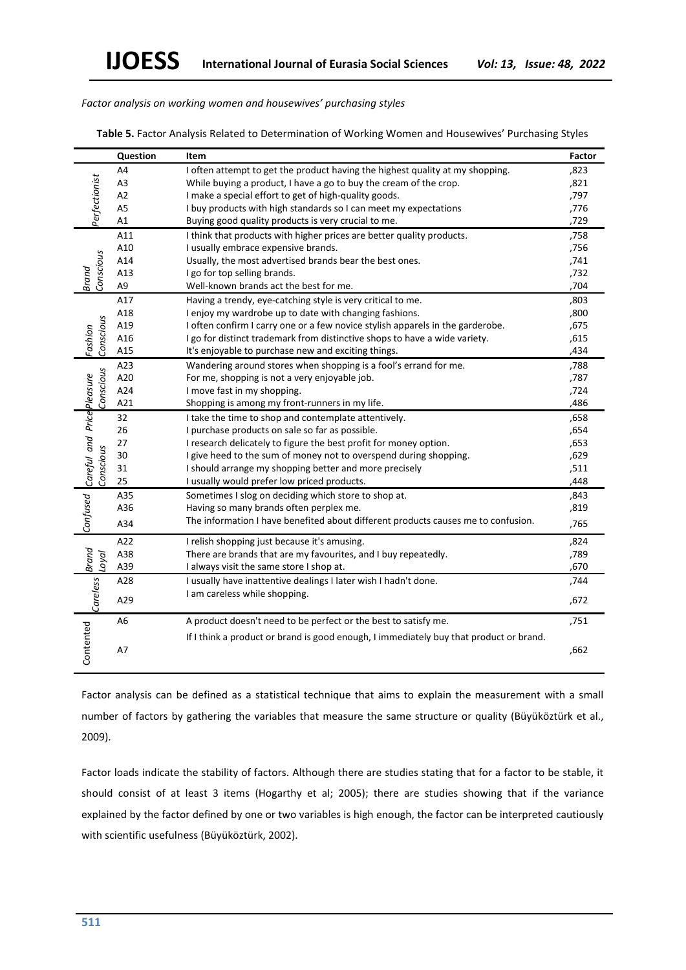*Factor analysis on working women and housewives' purchasing styles*

|                                          | Question       | Item                                                                                   | Factor |
|------------------------------------------|----------------|----------------------------------------------------------------------------------------|--------|
|                                          | A4             | I often attempt to get the product having the highest quality at my shopping.          | ,823   |
|                                          | A <sub>3</sub> | While buying a product, I have a go to buy the cream of the crop.                      | ,821   |
|                                          | A2             | I make a special effort to get of high-quality goods.                                  | ,797   |
| Perfectionist                            | A <sub>5</sub> | I buy products with high standards so I can meet my expectations                       | ,776   |
|                                          | A1             | Buying good quality products is very crucial to me.                                    | ,729   |
|                                          | A11            | I think that products with higher prices are better quality products.                  | ,758   |
|                                          | A10            | I usually embrace expensive brands.                                                    | ,756   |
|                                          | A14            | Usually, the most advertised brands bear the best ones.                                | ,741   |
| Conscious<br>Brand                       | A13            | I go for top selling brands.                                                           | ,732   |
|                                          | A9             | Well-known brands act the best for me.                                                 | ,704   |
|                                          | A17            | Having a trendy, eye-catching style is very critical to me.                            | ,803   |
|                                          | A18            | I enjoy my wardrobe up to date with changing fashions.                                 | ,800   |
|                                          | A19            | I often confirm I carry one or a few novice stylish apparels in the garderobe.         | ,675   |
| Conscious<br>Fashion                     | A16            | I go for distinct trademark from distinctive shops to have a wide variety.             | ,615   |
|                                          | A15            | It's enjoyable to purchase new and exciting things.                                    | ,434   |
|                                          | A23            | Wandering around stores when shopping is a fool's errand for me.                       | ,788   |
| Conscious                                | A20            | For me, shopping is not a very enjoyable job.                                          | ,787   |
|                                          | A24            | I move fast in my shopping.                                                            | ,724   |
|                                          | A21            | Shopping is among my front-runners in my life.                                         | ,486   |
|                                          | 32             | I take the time to shop and contemplate attentively.                                   | ,658   |
|                                          | 26             | I purchase products on sale so far as possible.                                        | ,654   |
|                                          | 27             | I research delicately to figure the best profit for money option.                      | ,653   |
|                                          | 30             | I give heed to the sum of money not to overspend during shopping.                      | ,629   |
| Conscious                                | 31             | I should arrange my shopping better and more precisely                                 | ,511   |
|                                          | 25             | I usually would prefer low priced products.                                            | ,448   |
|                                          | A35            | Sometimes I slog on deciding which store to shop at.                                   | ,843   |
|                                          | A36            | Having so many brands often perplex me.                                                | ,819   |
| Confused Careful and Price Pleasure      | A34            | The information I have benefited about different products causes me to confusion.      | ,765   |
|                                          | A22            | I relish shopping just because it's amusing.                                           | ,824   |
| loyal                                    | A38            | There are brands that are my favourites, and I buy repeatedly.                         | ,789   |
|                                          | A39            | I always visit the same store I shop at.                                               | ,670   |
|                                          | A28            | I usually have inattentive dealings I later wish I hadn't done.                        | ,744   |
| $\vert$ Careless $\vert$ , $\vert$ Brand | A29            | I am careless while shopping.                                                          | ,672   |
|                                          | A <sub>6</sub> | A product doesn't need to be perfect or the best to satisfy me.                        | ,751   |
| Contented                                | A7             | If I think a product or brand is good enough, I immediately buy that product or brand. | ,662   |

Factor analysis can be defined as a statistical technique that aims to explain the measurement with a small number of factors by gathering the variables that measure the same structure or quality (Büyüköztürk et al., 2009).

Factor loads indicate the stability of factors. Although there are studies stating that for a factor to be stable, it should consist of at least 3 items (Hogarthy et al; 2005); there are studies showing that if the variance explained by the factor defined by one or two variables is high enough, the factor can be interpreted cautiously with scientific usefulness (Büyüköztürk, 2002).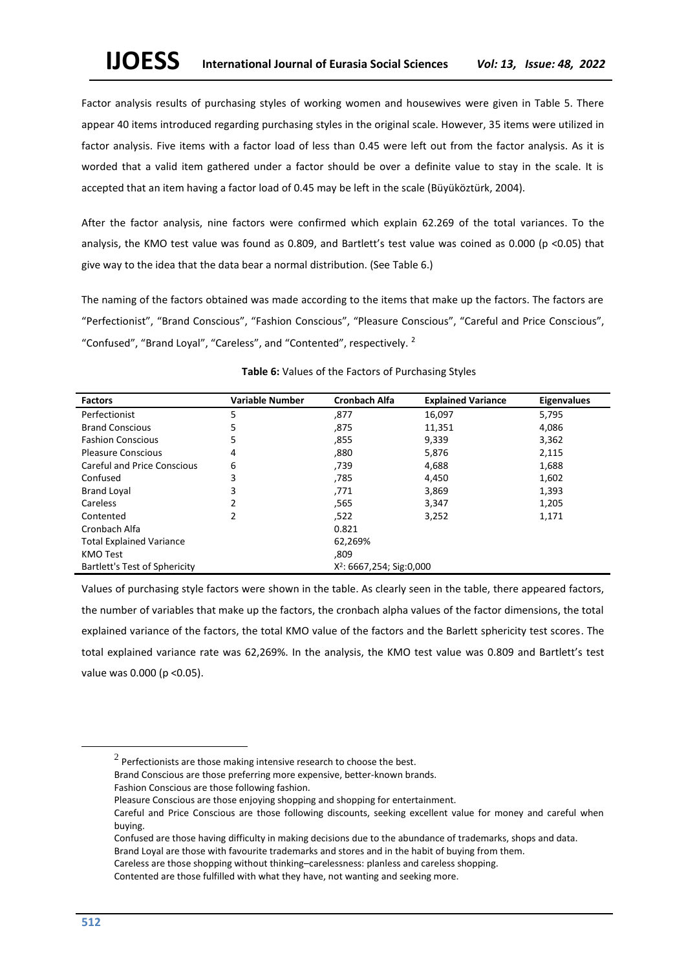Factor analysis results of purchasing styles of working women and housewives were given in Table 5. There appear 40 items introduced regarding purchasing styles in the original scale. However, 35 items were utilized in factor analysis. Five items with a factor load of less than 0.45 were left out from the factor analysis. As it is worded that a valid item gathered under a factor should be over a definite value to stay in the scale. It is accepted that an item having a factor load of 0.45 may be left in the scale (Büyüköztürk, 2004).

After the factor analysis, nine factors were confirmed which explain 62.269 of the total variances. To the analysis, the KMO test value was found as 0.809, and Bartlett's test value was coined as 0.000 (p <0.05) that give way to the idea that the data bear a normal distribution. (See Table 6.)

The naming of the factors obtained was made according to the items that make up the factors. The factors are "Perfectionist", "Brand Conscious", "Fashion Conscious", "Pleasure Conscious", "Careful and Price Conscious", "Confused", "Brand Loyal", "Careless", and "Contented", respectively. <sup>2</sup>

| <b>Factors</b>                     | <b>Variable Number</b> | <b>Cronbach Alfa</b>                 | <b>Explained Variance</b> | <b>Eigenvalues</b> |
|------------------------------------|------------------------|--------------------------------------|---------------------------|--------------------|
| Perfectionist                      | 5                      | ,877                                 | 16,097                    | 5,795              |
| <b>Brand Conscious</b>             | 5                      | ,875                                 | 11,351                    | 4,086              |
| <b>Fashion Conscious</b>           | 5                      | ,855                                 | 9,339                     | 3,362              |
| <b>Pleasure Conscious</b>          | 4                      | ,880                                 | 5,876                     | 2,115              |
| <b>Careful and Price Conscious</b> | 6                      | ,739                                 | 4,688                     | 1,688              |
| Confused                           | 3                      | ,785                                 | 4,450                     | 1,602              |
| <b>Brand Loyal</b>                 | 3                      | ,771                                 | 3,869                     | 1,393              |
| Careless                           | 2                      | .565                                 | 3,347                     | 1,205              |
| Contented                          | 2                      | ,522                                 | 3.252                     | 1,171              |
| Cronbach Alfa                      |                        | 0.821                                |                           |                    |
| <b>Total Explained Variance</b>    |                        | 62,269%                              |                           |                    |
| KMO Test                           |                        | ,809                                 |                           |                    |
| Bartlett's Test of Sphericity      |                        | X <sup>2</sup> : 6667,254; Sig:0,000 |                           |                    |

# **Table 6:** Values of the Factors of Purchasing Styles

Values of purchasing style factors were shown in the table. As clearly seen in the table, there appeared factors, the number of variables that make up the factors, the cronbach alpha values of the factor dimensions, the total explained variance of the factors, the total KMO value of the factors and the Barlett sphericity test scores. The total explained variance rate was 62,269%. In the analysis, the KMO test value was 0.809 and Bartlett's test value was 0.000 (p <0.05).

Brand Conscious are those preferring more expensive, better-known brands.

 $^2$  Perfectionists are those making intensive research to choose the best.

Fashion Conscious are those following fashion.

Pleasure Conscious are those enjoying shopping and shopping for entertainment.

Careful and Price Conscious are those following discounts, seeking excellent value for money and careful when buying.

Confused are those having difficulty in making decisions due to the abundance of trademarks, shops and data. Brand Loyal are those with favourite trademarks and stores and in the habit of buying from them.

Careless are those shopping without thinking–carelessness: planless and careless shopping.

Contented are those fulfilled with what they have, not wanting and seeking more.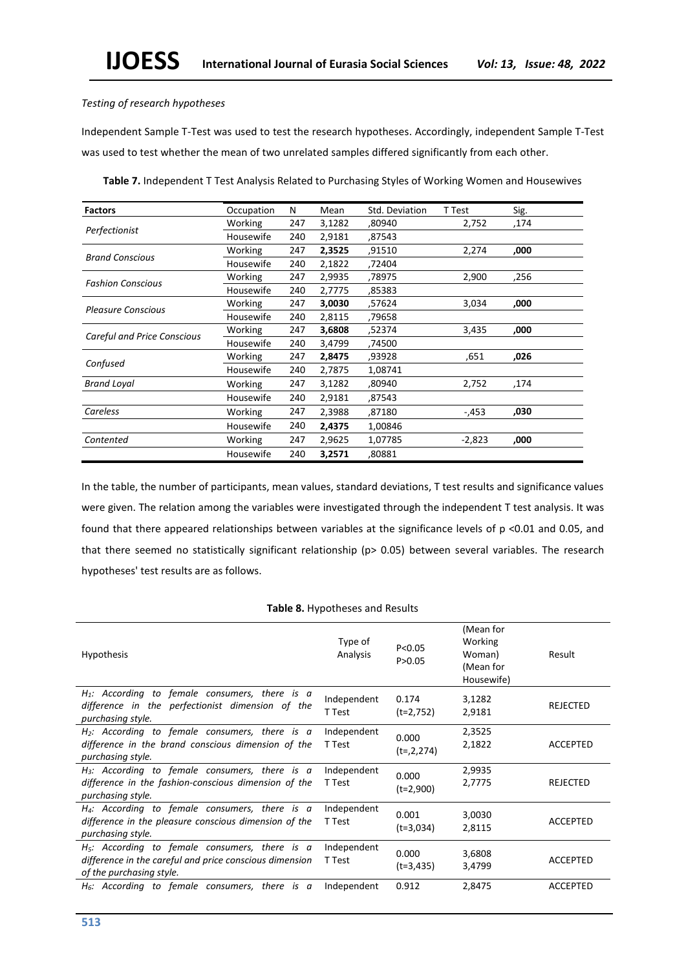# *Testing of research hypotheses*

Independent Sample T-Test was used to test the research hypotheses. Accordingly, independent Sample T-Test was used to test whether the mean of two unrelated samples differed significantly from each other.

| <b>Factors</b>                     | Occupation | N   | Mean   | Std. Deviation | T Test   | Sig. |
|------------------------------------|------------|-----|--------|----------------|----------|------|
|                                    | Working    | 247 | 3,1282 | ,80940         | 2,752    | 174, |
| Perfectionist                      | Housewife  | 240 | 2,9181 | ,87543         |          |      |
| <b>Brand Conscious</b>             | Working    | 247 | 2,3525 | ,91510         | 2,274    | ,000 |
|                                    | Housewife  | 240 | 2,1822 | ,72404         |          |      |
| <b>Fashion Conscious</b>           | Working    | 247 | 2,9935 | ,78975         | 2,900    | ,256 |
|                                    | Housewife  | 240 | 2,7775 | ,85383         |          |      |
| <b>Pleasure Conscious</b>          | Working    | 247 | 3,0030 | ,57624         | 3,034    | ,000 |
|                                    | Housewife  | 240 | 2,8115 | ,79658         |          |      |
|                                    | Working    | 247 | 3,6808 | ,52374         | 3,435    | ,000 |
| <b>Careful and Price Conscious</b> | Housewife  | 240 | 3,4799 | ,74500         |          |      |
|                                    | Working    | 247 | 2,8475 | ,93928         | ,651     | ,026 |
| Confused                           | Housewife  | 240 | 2,7875 | 1,08741        |          |      |
| <b>Brand Loyal</b>                 | Working    | 247 | 3,1282 | ,80940         | 2,752    | ,174 |
|                                    | Housewife  | 240 | 2,9181 | ,87543         |          |      |
| Careless                           | Working    | 247 | 2,3988 | ,87180         | -,453    | ,030 |
|                                    | Housewife  | 240 | 2,4375 | 1,00846        |          |      |
| Contented                          | Working    | 247 | 2,9625 | 1,07785        | $-2,823$ | ,000 |
|                                    | Housewife  | 240 | 3,2571 | ,80881         |          |      |

**Table 7.** Independent T Test Analysis Related to Purchasing Styles of Working Women and Housewives

In the table, the number of participants, mean values, standard deviations, T test results and significance values were given. The relation among the variables were investigated through the independent T test analysis. It was found that there appeared relationships between variables at the significance levels of p <0.01 and 0.05, and that there seemed no statistically significant relationship (p> 0.05) between several variables. The research hypotheses' test results are as follows.

# **Table 8.** Hypotheses and Results

| <b>Hypothesis</b>                                                                                                                       | Type of<br>Analysis   | P < 0.05<br>P > 0.05 | (Mean for<br>Working<br>Woman)<br>(Mean for<br>Housewife) | Result          |
|-----------------------------------------------------------------------------------------------------------------------------------------|-----------------------|----------------------|-----------------------------------------------------------|-----------------|
| $H_1$ : According to female consumers, there is a<br>difference in the perfectionist dimension of the<br>purchasing style.              | Independent<br>T Test | 0.174<br>$(t=2,752)$ | 3,1282<br>2,9181                                          | REJECTED        |
| $H_2$ : According to female consumers, there is a<br>difference in the brand conscious dimension of the<br>purchasing style.            | Independent<br>T Test | 0.000<br>$(t=2,274)$ | 2,3525<br>2,1822                                          | <b>ACCEPTED</b> |
| $H_3$ : According to female consumers, there is a<br>difference in the fashion-conscious dimension of the<br>purchasing style.          | Independent<br>T Test | 0.000<br>$(t=2,900)$ | 2,9935<br>2,7775                                          | REJECTED        |
| $H_4$ : According to female consumers, there is a<br>difference in the pleasure conscious dimension of the<br>purchasing style.         | Independent<br>T Test | 0.001<br>$(t=3.034)$ | 3,0030<br>2,8115                                          | <b>ACCEPTED</b> |
| $H5$ : According to female consumers, there is a<br>difference in the careful and price conscious dimension<br>of the purchasing style. | Independent<br>T Test | 0.000<br>$(t=3,435)$ | 3,6808<br>3,4799                                          | <b>ACCEPTED</b> |
| $H6$ : According to female consumers, there is a                                                                                        | Independent           | 0.912                | 2,8475                                                    | <b>ACCEPTED</b> |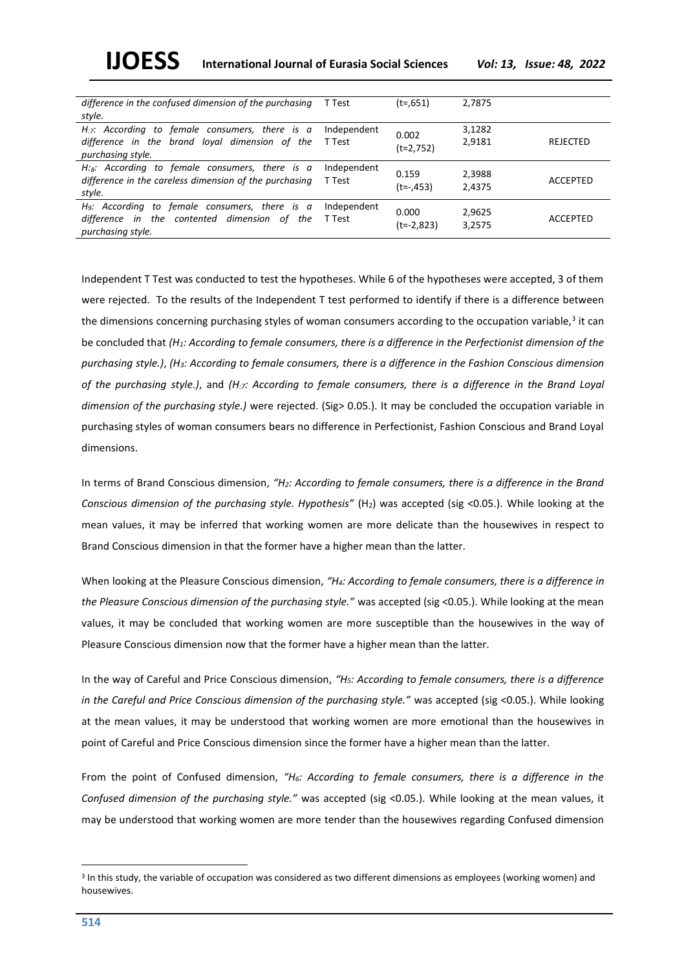**IJOESS International Journal of Eurasia Social Sciences** *Vol: 13, Issue: 48, 2022*

| difference in the confused dimension of the purchasing<br>style.                                                                     | T Test                | $(t=0.651)$           | 2,7875           |                 |
|--------------------------------------------------------------------------------------------------------------------------------------|-----------------------|-----------------------|------------------|-----------------|
| $H_{\mathcal{I}}$ : According to female consumers, there is a<br>difference in the brand loyal dimension of the<br>purchasing style. | Independent<br>T Test | 0.002<br>$(t=2,752)$  | 3,1282<br>2,9181 | REJECTED        |
| $H:_{\mathcal{B}}$ : According to female consumers, there is a<br>difference in the careless dimension of the purchasing<br>style.   | Independent<br>T Test | 0.159<br>$(t=-0.453)$ | 2,3988<br>2,4375 | ACCEPTED        |
| $H9$ : According to female consumers, there is a<br>difference in the contented dimension of<br>the<br>purchasing style.             | Independent<br>T Test | 0.000<br>$(t=-2,823)$ | 2,9625<br>3,2575 | <b>ACCEPTED</b> |

Independent T Test was conducted to test the hypotheses. While 6 of the hypotheses were accepted, 3 of them were rejected. To the results of the Independent T test performed to identify if there is a difference between the dimensions concerning purchasing styles of woman consumers according to the occupation variable,<sup>3</sup> it can be concluded that *(H1: According to female consumers, there is a difference in the Perfectionist dimension of the purchasing style.)*, *(H3: According to female consumers, there is a difference in the Fashion Conscious dimension of the purchasing style.)*, and *(H:7: According to female consumers, there is a difference in the Brand Loyal dimension of the purchasing style.)* were rejected. (Sig> 0.05.). It may be concluded the occupation variable in purchasing styles of woman consumers bears no difference in Perfectionist, Fashion Conscious and Brand Loyal dimensions.

In terms of Brand Conscious dimension, *"H2: According to female consumers, there is a difference in the Brand Conscious dimension of the purchasing style. Hypothesis"* (H<sub>2</sub>) was accepted (sig <0.05.). While looking at the mean values, it may be inferred that working women are more delicate than the housewives in respect to Brand Conscious dimension in that the former have a higher mean than the latter.

When looking at the Pleasure Conscious dimension, *"H4: According to female consumers, there is a difference in the Pleasure Conscious dimension of the purchasing style."* was accepted (sig <0.05.). While looking at the mean values, it may be concluded that working women are more susceptible than the housewives in the way of Pleasure Conscious dimension now that the former have a higher mean than the latter.

In the way of Careful and Price Conscious dimension, *"H5: According to female consumers, there is a difference in the Careful and Price Conscious dimension of the purchasing style."* was accepted (sig <0.05.). While looking at the mean values, it may be understood that working women are more emotional than the housewives in point of Careful and Price Conscious dimension since the former have a higher mean than the latter.

From the point of Confused dimension, *"H6: According to female consumers, there is a difference in the Confused dimension of the purchasing style."* was accepted (sig <0.05.). While looking at the mean values, it may be understood that working women are more tender than the housewives regarding Confused dimension

<sup>3</sup> In this study, the variable of occupation was considered as two different dimensions as employees (working women) and housewives.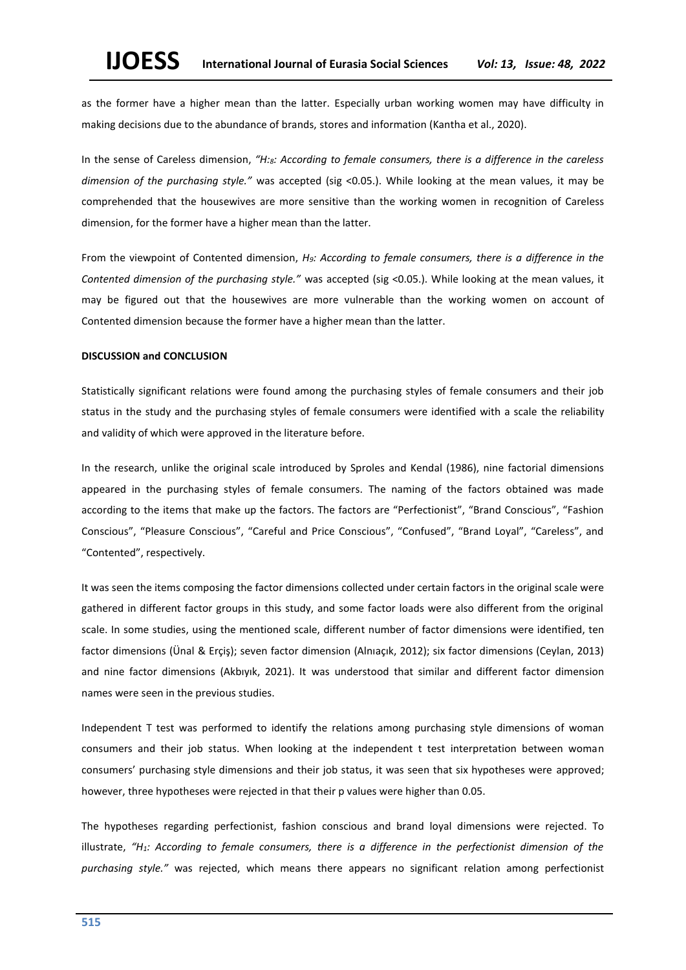as the former have a higher mean than the latter. Especially urban working women may have difficulty in making decisions due to the abundance of brands, stores and information (Kantha et al., 2020).

In the sense of Careless dimension, *"H:8: According to female consumers, there is a difference in the careless dimension of the purchasing style."* was accepted (sig <0.05.). While looking at the mean values, it may be comprehended that the housewives are more sensitive than the working women in recognition of Careless dimension, for the former have a higher mean than the latter.

From the viewpoint of Contented dimension, *H9: According to female consumers, there is a difference in the Contented dimension of the purchasing style."* was accepted (sig <0.05.). While looking at the mean values, it may be figured out that the housewives are more vulnerable than the working women on account of Contented dimension because the former have a higher mean than the latter.

### **DISCUSSION and CONCLUSION**

Statistically significant relations were found among the purchasing styles of female consumers and their job status in the study and the purchasing styles of female consumers were identified with a scale the reliability and validity of which were approved in the literature before.

In the research, unlike the original scale introduced by Sproles and Kendal (1986), nine factorial dimensions appeared in the purchasing styles of female consumers. The naming of the factors obtained was made according to the items that make up the factors. The factors are "Perfectionist", "Brand Conscious", "Fashion Conscious", "Pleasure Conscious", "Careful and Price Conscious", "Confused", "Brand Loyal", "Careless", and "Contented", respectively.

It was seen the items composing the factor dimensions collected under certain factors in the original scale were gathered in different factor groups in this study, and some factor loads were also different from the original scale. In some studies, using the mentioned scale, different number of factor dimensions were identified, ten factor dimensions (Ünal & Erçiş); seven factor dimension (Alnıaçık, 2012); six factor dimensions (Ceylan, 2013) and nine factor dimensions (Akbıyık, 2021). It was understood that similar and different factor dimension names were seen in the previous studies.

Independent T test was performed to identify the relations among purchasing style dimensions of woman consumers and their job status. When looking at the independent t test interpretation between woman consumers' purchasing style dimensions and their job status, it was seen that six hypotheses were approved; however, three hypotheses were rejected in that their p values were higher than 0.05.

The hypotheses regarding perfectionist, fashion conscious and brand loyal dimensions were rejected. To illustrate, *"H1: According to female consumers, there is a difference in the perfectionist dimension of the purchasing style."* was rejected, which means there appears no significant relation among perfectionist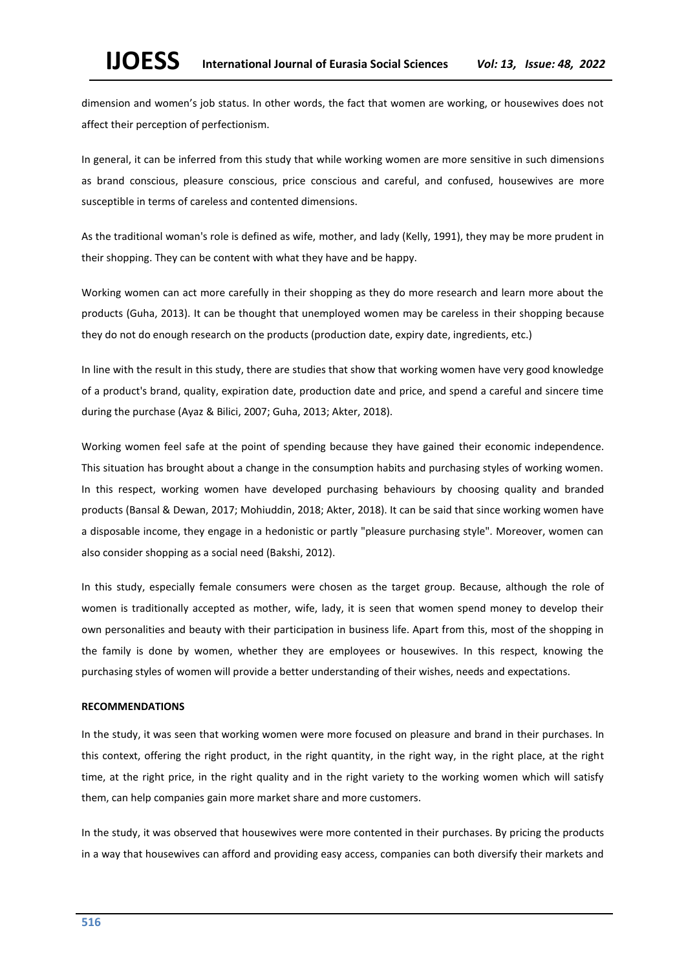dimension and women's job status. In other words, the fact that women are working, or housewives does not affect their perception of perfectionism.

In general, it can be inferred from this study that while working women are more sensitive in such dimensions as brand conscious, pleasure conscious, price conscious and careful, and confused, housewives are more susceptible in terms of careless and contented dimensions.

As the traditional woman's role is defined as wife, mother, and lady (Kelly, 1991), they may be more prudent in their shopping. They can be content with what they have and be happy.

Working women can act more carefully in their shopping as they do more research and learn more about the products (Guha, 2013). It can be thought that unemployed women may be careless in their shopping because they do not do enough research on the products (production date, expiry date, ingredients, etc.)

In line with the result in this study, there are studies that show that working women have very good knowledge of a product's brand, quality, expiration date, production date and price, and spend a careful and sincere time during the purchase (Ayaz & Bilici, 2007; Guha, 2013; Akter, 2018).

Working women feel safe at the point of spending because they have gained their economic independence. This situation has brought about a change in the consumption habits and purchasing styles of working women. In this respect, working women have developed purchasing behaviours by choosing quality and branded products (Bansal & Dewan, 2017; Mohiuddin, 2018; Akter, 2018). It can be said that since working women have a disposable income, they engage in a hedonistic or partly "pleasure purchasing style". Moreover, women can also consider shopping as a social need (Bakshi, 2012).

In this study, especially female consumers were chosen as the target group. Because, although the role of women is traditionally accepted as mother, wife, lady, it is seen that women spend money to develop their own personalities and beauty with their participation in business life. Apart from this, most of the shopping in the family is done by women, whether they are employees or housewives. In this respect, knowing the purchasing styles of women will provide a better understanding of their wishes, needs and expectations.

### **RECOMMENDATIONS**

In the study, it was seen that working women were more focused on pleasure and brand in their purchases. In this context, offering the right product, in the right quantity, in the right way, in the right place, at the right time, at the right price, in the right quality and in the right variety to the working women which will satisfy them, can help companies gain more market share and more customers.

In the study, it was observed that housewives were more contented in their purchases. By pricing the products in a way that housewives can afford and providing easy access, companies can both diversify their markets and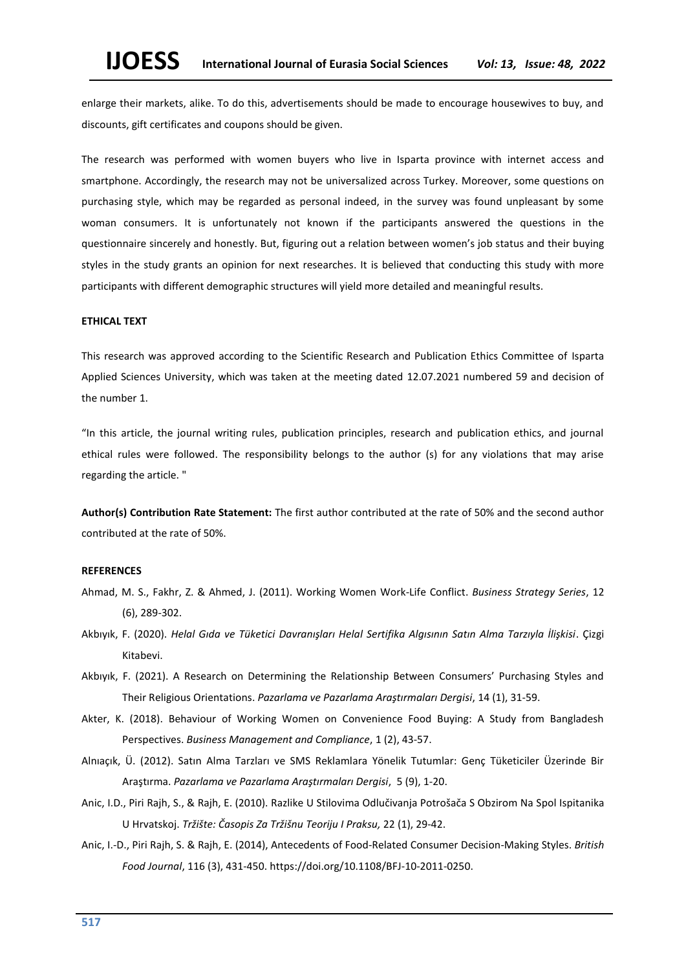enlarge their markets, alike. To do this, advertisements should be made to encourage housewives to buy, and discounts, gift certificates and coupons should be given.

The research was performed with women buyers who live in Isparta province with internet access and smartphone. Accordingly, the research may not be universalized across Turkey. Moreover, some questions on purchasing style, which may be regarded as personal indeed, in the survey was found unpleasant by some woman consumers. It is unfortunately not known if the participants answered the questions in the questionnaire sincerely and honestly. But, figuring out a relation between women's job status and their buying styles in the study grants an opinion for next researches. It is believed that conducting this study with more participants with different demographic structures will yield more detailed and meaningful results.

### **ETHICAL TEXT**

This research was approved according to the Scientific Research and Publication Ethics Committee of Isparta Applied Sciences University, which was taken at the meeting dated 12.07.2021 numbered 59 and decision of the number 1.

"In this article, the journal writing rules, publication principles, research and publication ethics, and journal ethical rules were followed. The responsibility belongs to the author (s) for any violations that may arise regarding the article. "

**Author(s) Contribution Rate Statement:** The first author contributed at the rate of 50% and the second author contributed at the rate of 50%.

#### **REFERENCES**

- Ahmad, M. S., Fakhr, Z. & Ahmed, J. (2011). Working Women Work-Life Conflict. *Business Strategy Series*, 12 (6), 289-302.
- Akbıyık, F. (2020). *Helal Gıda ve Tüketici Davranışları Helal Sertifika Algısının Satın Alma Tarzıyla İlişkisi*. Çizgi Kitabevi.
- Akbıyık, F. (2021). A Research on Determining the Relationship Between Consumers' Purchasing Styles and Their Religious Orientations. *Pazarlama ve Pazarlama Araştırmaları Dergisi*, 14 (1), 31-59.
- Akter, K. (2018). Behaviour of Working Women on Convenience Food Buying: A Study from Bangladesh Perspectives. *Business Management and Compliance*, 1 (2), 43-57.
- Alnıaçık, Ü. (2012). Satın Alma Tarzları ve SMS Reklamlara Yönelik Tutumlar: Genç Tüketiciler Üzerinde Bir Araştırma. *Pazarlama ve Pazarlama Araştırmaları Dergisi*, 5 (9), 1-20.
- Anic, I.D., Piri Rajh, S., & Rajh, E. (2010). Razlike U Stilovima Odlučivanja Potrošača S Obzirom Na Spol Ispitanika U Hrvatskoj. *Tržište: Časopis Za Tržišnu Teoriju I Praksu,* 22 (1), 29-42.
- [Anic, I.-D.,](https://www.emerald.com/insight/search?q=Ivan-Damir%20Ani%C4%87) [Piri Rajh, S.](https://www.emerald.com/insight/search?q=Suncana%20Piri%20Rajh) & [Rajh, E.](https://www.emerald.com/insight/search?q=Edo%20Rajh) (2014), Antecedents of Food-Related Consumer Decision-Making Styles. *[British](https://www.emerald.com/insight/publication/issn/0007-070X)  [Food Journal](https://www.emerald.com/insight/publication/issn/0007-070X)*, 116 (3), 431-450. [https://doi.org/10.1108/BFJ-10-2011-0250.](https://doi.org/10.1108/BFJ-10-2011-0250)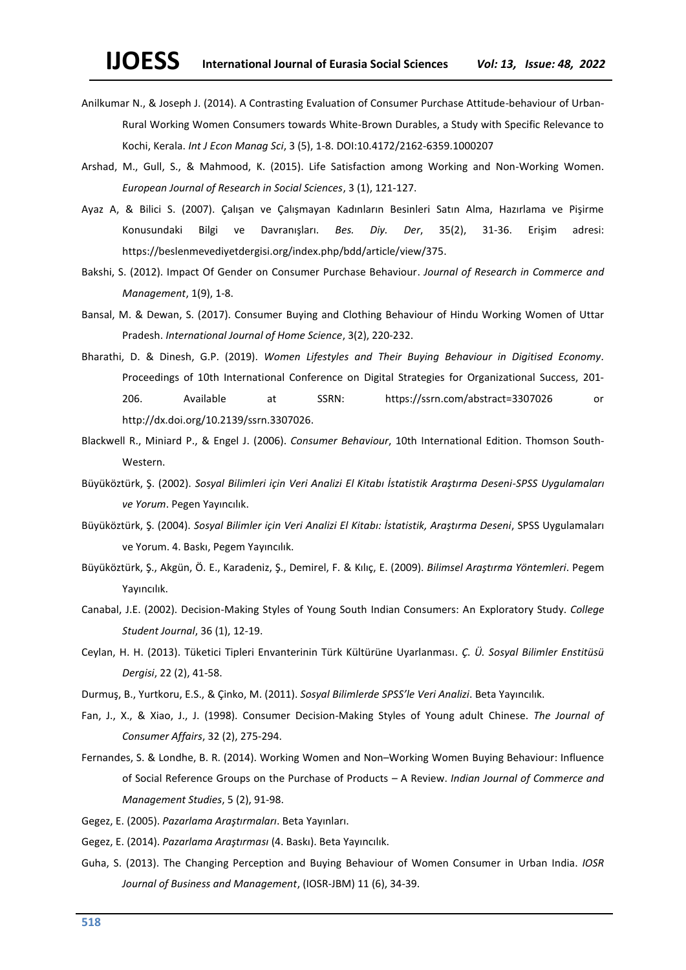- Anilkumar N., & Joseph J. (2014). A Contrasting Evaluation of Consumer Purchase Attitude-behaviour of Urban-Rural Working Women Consumers towards White-Brown Durables, a Study with Specific Relevance to Kochi, Kerala. *Int J Econ Manag Sci*, 3 (5), 1-8. DOI[:10.4172/2162-6359.1000207](http://dx.doi.org/10.4172/2162-6359.1000207)
- Arshad, M., Gull, S., & Mahmood, K. (2015). Life Satisfaction among Working and Non-Working Women. *European Journal of Research in Social Sciences*, 3 (1), 121-127.
- Ayaz A, & Bilici S. (2007). Çalışan ve Çalışmayan Kadınların Besinleri Satın Alma, Hazırlama ve Pişirme Konusundaki Bilgi ve Davranışları. *Bes. Diy. Der*, 35(2), 31-36. Erişim adresi: [https://beslenmevediyetdergisi.org/index.php/bdd/article/view/375.](https://beslenmevediyetdergisi.org/index.php/bdd/article/view/375)
- Bakshi, S. (2012). Impact Of Gender on Consumer Purchase Behaviour. *Journal of Research in Commerce and Management*, 1(9), 1-8.
- Bansal, M. & Dewan, S. (2017). Consumer Buying and Clothing Behaviour of Hindu Working Women of Uttar Pradesh. *International Journal of Home Science*, 3(2), 220-232.
- Bharathi, D. & Dinesh, G.P. (2019). *Women Lifestyles and Their Buying Behaviour in Digitised Economy.* Proceedings of 10th International Conference on Digital Strategies for Organizational Success, 201- 206. Available at SSRN: https://ssrn.com/abstract=3307026 or http://dx.doi.org/10.2139/ssrn.3307026.
- Blackwell R., Miniard P., & Engel J. (2006). *Consumer Behaviour*, 10th International Edition. Thomson South-Western.
- Büyüköztürk, Ş. (2002). *Sosyal Bilimleri için Veri Analizi El Kitabı İstatistik Araştırma Deseni-SPSS Uygulamaları ve Yorum*. Pegen Yayıncılık.
- Büyüköztürk, Ş. (2004). *Sosyal Bilimler için Veri Analizi El Kitabı: İstatistik, Araştırma Deseni*, SPSS Uygulamaları ve Yorum. 4. Baskı, Pegem Yayıncılık.
- Büyüköztürk, Ş., Akgün, Ö. E., Karadeniz, Ş., Demirel, F. & Kılıç, E. (2009). *Bilimsel Araştırma Yöntemleri*. Pegem Yayıncılık.
- Canabal, J.E. (2002). Decision-Making Styles of Young South Indian Consumers: An Exploratory Study. *College Student Journal*, 36 (1), 12-19.
- Ceylan, H. H. (2013). Tüketici Tipleri Envanterinin Türk Kültürüne Uyarlanması. *Ç. Ü. Sosyal Bilimler Enstitüsü Dergisi*, 22 (2), 41-58.
- Durmuş, B., Yurtkoru, E.S., & Çinko, M. (2011). *Sosyal Bilimlerde SPSS'le Veri Analizi*. Beta Yayıncılık.
- Fan, J., X., & Xiao, J., J. (1998). Consumer Decision-Making Styles of Young adult Chinese. *The Journal of Consumer Affairs*, 32 (2), 275-294.
- Fernandes, S. & Londhe, B. R. (2014). Working Women and Non–Working Women Buying Behaviour: Influence of Social Reference Groups on the Purchase of Products – A Review. *[Indian Journal of Commerce and](https://econpapers.repec.org/article/aiiijcmss/)  [Management Studies](https://econpapers.repec.org/article/aiiijcmss/)*, 5 (2), 91-98.
- Gegez, E. (2005). *Pazarlama Araştırmaları*. Beta Yayınları.
- Gegez, E. (2014). *Pazarlama Araştırması* (4. Baskı). Beta Yayıncılık.
- Guha, S. (2013). The Changing Perception and Buying Behaviour of Women Consumer in Urban India. *IOSR Journal of Business and Management*, (IOSR-JBM) 11 (6), 34-39.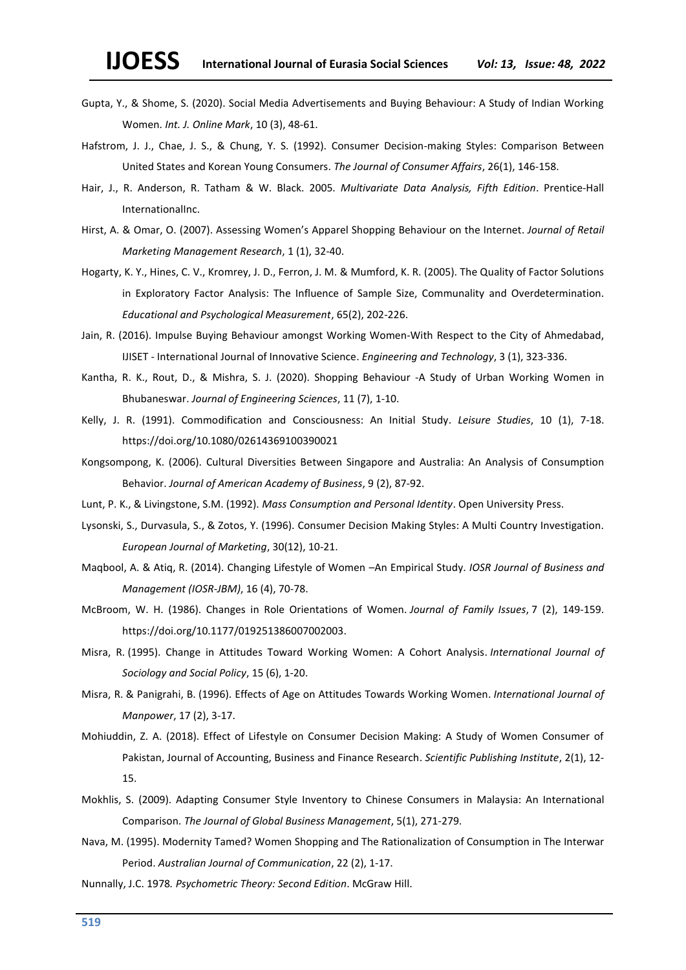- Gupta, Y., & Shome, S. (2020). Social Media Advertisements and Buying Behaviour: A Study of Indian Working Women. *Int. J. Online Mark*, 10 (3), 48-61.
- Hafstrom, J. J., Chae, J. S., & Chung, Y. S. (1992). Consumer Decision-making Styles: Comparison Between United States and Korean Young Consumers. *The Journal of Consumer Affairs*, 26(1), 146-158.
- Hair, J., R. Anderson, R. Tatham & W. Black. 2005. *Multivariate Data Analysis, Fifth Edition*. Prentice-Hall InternationalInc.
- Hirst, A. & Omar, O. (2007). Assessing Women's Apparel Shopping Behaviour on the Internet. *Journal of Retail Marketing Management Research*, 1 (1), 32-40.
- Hogarty, K. Y., Hines, C. V., Kromrey, J. D., Ferron, J. M. & Mumford, K. R. (2005). The Quality of Factor Solutions in Exploratory Factor Analysis: The Influence of Sample Size, Communality and Overdetermination. *Educational and Psychological Measurement*, 65(2), 202-226.
- Jain, R. (2016). Impulse Buying Behaviour amongst Working Women-With Respect to the City of Ahmedabad, IJISET - International Journal of Innovative Science. *Engineering and Technology*, 3 (1), 323-336.
- Kantha, R. K., Rout, D., & Mishra, S. J. (2020). Shopping Behaviour -A Study of Urban Working Women in Bhubaneswar. *Journal of Engineering Sciences*, 11 (7), 1-10.
- Kelly, J. R. (1991). Commodification and Consciousness: An Initial Study. *Leisure Studies*, 10 (1), 7-18. <https://doi.org/10.1080/02614369100390021>
- Kongsompong, K. (2006). Cultural Diversities Between Singapore and Australia: An Analysis of Consumption Behavior. *Journal of American Academy of Business*, 9 (2), 87-92.
- Lunt, P. K., & Livingstone, S.M. (1992). *Mass Consumption and Personal Identity*. Open University Press.
- Lysonski, S., Durvasula, S., & Zotos, Y. (1996). Consumer Decision Making Styles: A Multi Country Investigation. *European Journal of Marketing*, 30(12), 10-21.
- Maqbool, A. & Atiq, R. (2014). Changing Lifestyle of Women –An Empirical Study. *IOSR Journal of Business and Management (IOSR-JBM)*, 16 (4), 70-78.
- McBroom, W. H. (1986). Changes in Role Orientations of Women. *Journal of Family Issues*, 7 (2), 149-159. https://doi.org/10.1177/019251386007002003.
- [Misra, R.](https://www.emerald.com/insight/search?q=Ranjita%20Misra) (1995). Change in Attitudes Toward Working Women: A Cohort Analysis. *[International Journal of](https://www.emerald.com/insight/publication/issn/0144-333X)  Sociology [and Social Policy](https://www.emerald.com/insight/publication/issn/0144-333X)*, 15 (6), 1-20.
- [Misra, R.](https://www.emerald.com/insight/search?q=Ranjita%20Misra) & [Panigrahi, B.](https://www.emerald.com/insight/search?q=Bhagaban%20Panigrahi) (1996). Effects of Age on Attitudes Towards Working Women. *[International Journal of](https://www.emerald.com/insight/publication/issn/0143-7720)  [Manpower](https://www.emerald.com/insight/publication/issn/0143-7720)*, 17 (2), 3-17.
- Mohiuddin, Z. A. (2018). Effect of Lifestyle on Consumer Decision Making: A Study of Women Consumer of Pakistan, [Journal of Accounting, Business and Finance Research.](https://ideas.repec.org/s/spi/joabfr.html) *Scientific Publishing Institute*, 2(1), 12- 15.
- Mokhlis, S. (2009). Adapting Consumer Style Inventory to Chinese Consumers in Malaysia: An International Comparison. *The Journal of Global Business Management*, 5(1), 271-279.
- Nava, M. (1995). Modernity Tamed? Women Shopping and The Rationalization of Consumption in The Interwar Period. *Australian Journal of Communication*, 22 (2), 1-17.
- Nunnally, J.C. 1978*. Psychometric Theory: Second Edition*. McGraw Hill.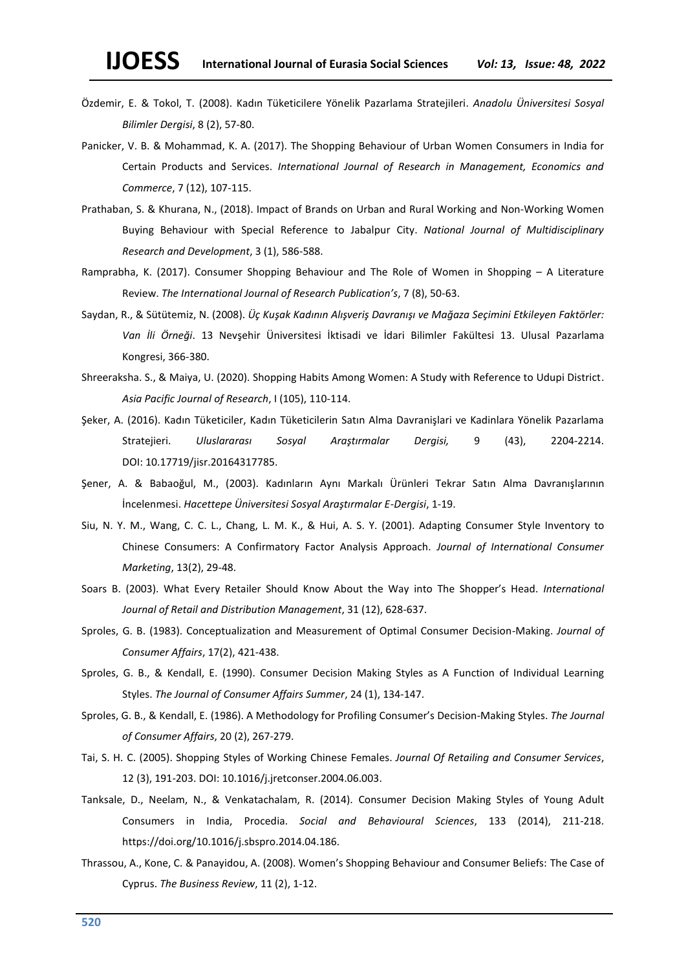- Özdemir, E. & Tokol, T. (2008). Kadın Tüketicilere Yönelik Pazarlama Stratejileri. *Anadolu Üniversitesi Sosyal Bilimler Dergisi*, 8 (2), 57-80.
- Panicker, V. B. & Mohammad, K. A. (2017). The Shopping Behaviour of Urban Women Consumers in India for Certain Products and Services. *International Journal of Research in Management, Economics and Commerce*, 7 (12), 107-115.
- Prathaban, S. & Khurana, N., (2018). Impact of Brands on Urban and Rural Working and Non-Working Women Buying Behaviour with Special Reference to Jabalpur City. *National Journal of Multidisciplinary Research and Development*, 3 (1), 586-588.
- Ramprabha, K. (2017). Consumer Shopping Behaviour and The Role of Women in Shopping A Literature Review. *The International Journal of Research Publication's*, 7 (8), 50-63.
- Saydan, R., & Sütütemiz, N. (2008). *Üç Kuşak Kadının Alışveriş Davranışı ve Mağaza Seçimini Etkileyen Faktörler: Van İli Örneği*. 13 Nevşehir Üniversitesi İktisadi ve İdari Bilimler Fakültesi 13. Ulusal Pazarlama Kongresi, 366-380.
- Shreeraksha. S., & Maiya, U. (2020). Shopping Habits Among Women: A Study with Reference to Udupi District. *Asia Pacific Journal of Research*, I (105), 110-114.
- Şeker, A. (2016). Kadın Tüketiciler, Kadın Tüketicilerin Satın Alma Davranişlari ve Kadinlara Yönelik Pazarlama Stratejieri. *Uluslararası Sosyal Araştırmalar Dergisi,* 9 (43), 2204-2214. DOI: [10.17719/jisr.20164317785.](http://dx.doi.org/10.17719/jisr.20164317785)
- Şener, A. & Babaoğul, M., (2003). Kadınların Aynı Markalı Ürünleri Tekrar Satın Alma Davranışlarının İncelenmesi. *Hacettepe Üniversitesi Sosyal Araştırmalar E-Dergisi*, 1-19.
- Siu, N. Y. M., Wang, C. C. L., Chang, L. M. K., & Hui, A. S. Y. (2001). Adapting Consumer Style Inventory to Chinese Consumers: A Confirmatory Factor Analysis Approach. *Journal of International Consumer Marketing*, 13(2), 29-48.
- Soars B. (2003). What Every Retailer Should Know About the Way into The Shopper's Head. *International Journal of Retail and Distribution Management*, 31 (12), 628-637.
- Sproles, G. B. (1983). Conceptualization and Measurement of Optimal Consumer Decision-Making. *Journal of Consumer Affairs*, 17(2), 421-438.
- Sproles, G. B., & Kendall, E. (1990). Consumer Decision Making Styles as A Function of Individual Learning Styles. *The Journal of Consumer Affairs Summer*, 24 (1), 134-147.
- Sproles, G. B., & Kendall, E. (1986). A Methodology for Profiling Consumer's Decision-Making Styles. *The Journal of Consumer Affairs*, 20 (2), 267-279.
- Tai, S. H. C. (2005). Shopping Styles of Working Chinese Females. *Journal Of Retailing and Consumer Services*, 12 (3), 191-203. DOI: 10.1016/j.jretconser.2004.06.003.
- Tanksale, D., Neelam, N., & Venkatachalam, R. (2014). Consumer Decision Making Styles of Young Adult Consumers in India, Procedia. *Social and Behavioural Sciences*, 133 (2014), 211-218. https://doi.org/10.1016/j.sbspro.2014.04.186.
- Thrassou, A., Kone, C. & Panayidou, A. (2008). Women's Shopping Behaviour and Consumer Beliefs: The Case of Cyprus. *The Business Review*, 11 (2), 1-12.